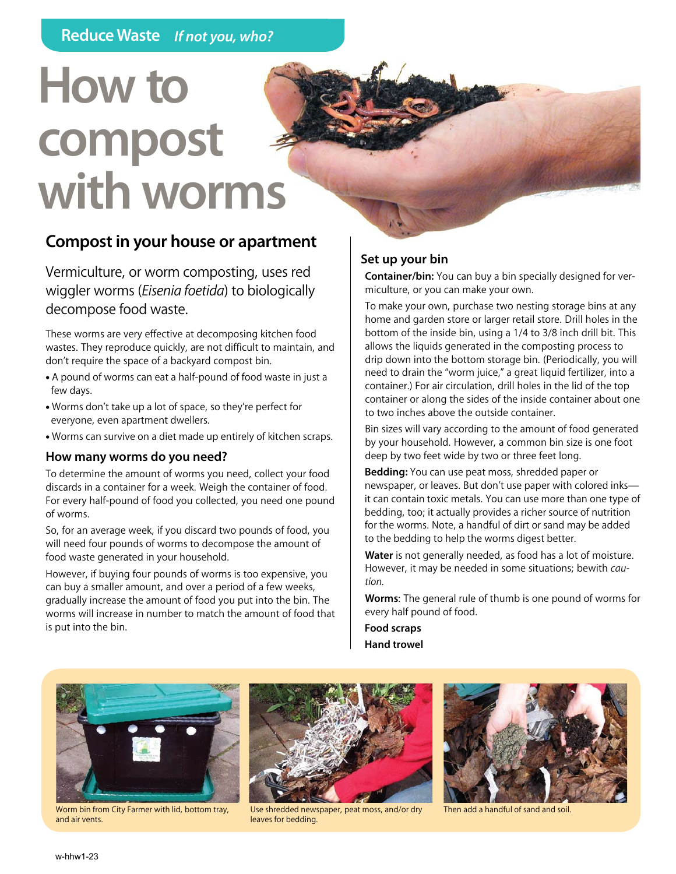# **How to compost with worms**

## **Compost in your house or apartment**

Vermiculture, or worm composting, uses red wiggler worms (*Eisenia foetida*) to biologically decompose food waste.

These worms are very effective at decomposing kitchen food wastes. They reproduce quickly, are not difficult to maintain, and don't require the space of a backyard compost bin.

- A pound of worms can eat a half-pound of food waste in just a few days.
- Worms don't take up a lot of space, so they're perfect for everyone, even apartment dwellers.
- Worms can survive on a diet made up entirely of kitchen scraps.

#### **How many worms do you need?**

To determine the amount of worms you need, collect your food discards in a container for a week. Weigh the container of food. For every half-pound of food you collected, you need one pound of worms.

So, for an average week, if you discard two pounds of food, you will need four pounds of worms to decompose the amount of food waste generated in your household.

However, if buying four pounds of worms is too expensive, you can buy a smaller amount, and over a period of a few weeks, gradually increase the amount of food you put into the bin. The worms will increase in number to match the amount of food that is put into the bin.

## **Set up your bin**

**Container/bin:** You can buy a bin specially designed for vermiculture, or you can make your own.

To make your own, purchase two nesting storage bins at any home and garden store or larger retail store. Drill holes in the bottom of the inside bin, using a 1/4 to 3/8 inch drill bit. This allows the liquids generated in the composting process to drip down into the bottom storage bin. (Periodically, you will need to drain the "worm juice," a great liquid fertilizer, into a container.) For air circulation, drill holes in the lid of the top container or along the sides of the inside container about one to two inches above the outside container.

Bin sizes will vary according to the amount of food generated by your household. However, a common bin size is one foot deep by two feet wide by two or three feet long.

**Bedding:** You can use peat moss, shredded paper or newspaper, or leaves. But don't use paper with colored inks it can contain toxic metals. You can use more than one type of bedding, too; it actually provides a richer source of nutrition for the worms. Note, a handful of dirt or sand may be added to the bedding to help the worms digest better.

**Water** is not generally needed, as food has a lot of moisture. However, it may be needed in some situations; bewith *caution.*

**Worms**: The general rule of thumb is one pound of worms for every half pound of food.

**Food scraps Hand trowel**



Worm bin from City Farmer with lid, bottom tray, and air vents.



Use shredded newspaper, peat moss, and/or dry Then add a handful of sand and soil leaves for bedding.